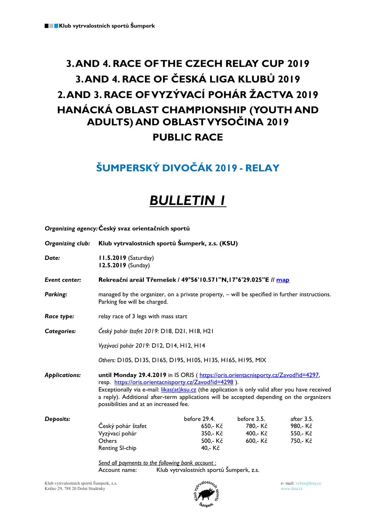*Organizing agency:***Český svaz orientačních sportů**

## **3.AND 4. RACE OFTHE CZECH RELAY CUP 2019 3. AND 4. RACE OF ČESKÁ LIGA KLUBŮ 2019 2.AND 3. RACE OF VYZÝVACÍ POHÁR ŽACTVA 2019 HANÁCKÁ OBLAST CHAMPIONSHIP (YOUTH AND ADULTS) AND OBLASTVYSOČINA 2019 PUBLIC RACE**

### **ŠUMPERSKÝ DIVOČÁK 2019 - RELAY**

# *BULLETIN 1*

| Organizing club:     | Klub vytrvalostních sportů Šumperk, z.s. (KSU)                                                                                                                                                                                                                                                                                                                                          |              |             |            |  |
|----------------------|-----------------------------------------------------------------------------------------------------------------------------------------------------------------------------------------------------------------------------------------------------------------------------------------------------------------------------------------------------------------------------------------|--------------|-------------|------------|--|
| Date:                | <b>11.5.2019</b> (Saturday)<br>12.5.2019 (Sunday)                                                                                                                                                                                                                                                                                                                                       |              |             |            |  |
| Event center:        | Rekreační areál Třemešek / 49°56'10.571"N,17°6'29.025"E // map                                                                                                                                                                                                                                                                                                                          |              |             |            |  |
| Parking:             | managed by the organizer, on a private property, - will be specified in further instructions.<br>Parking fee will be charged.                                                                                                                                                                                                                                                           |              |             |            |  |
| Race type:           | relay race of 3 legs with mass start                                                                                                                                                                                                                                                                                                                                                    |              |             |            |  |
| Categories:          | Český pohár štafet 2019: D18, D21, H18, H21                                                                                                                                                                                                                                                                                                                                             |              |             |            |  |
|                      | Vyzývací pohár 2019: D12, D14, H12, H14                                                                                                                                                                                                                                                                                                                                                 |              |             |            |  |
|                      | Others: D105, D135, D165, D195, H105, H135, H165, H195, MIX                                                                                                                                                                                                                                                                                                                             |              |             |            |  |
| <b>Applications:</b> | until Monday 29.4.2019 in IS ORIS (https://oris.orientacnisporty.cz/Zavod?id=4297,<br>resp. https://oris.orientacnisporty.cz/Zavod?id=4298).<br>Exceptionally via e-mail: likas(at)ksu.cz (the application is only valid after you have received<br>a reply). Additional after-term applications will be accepted depending on the organizers<br>possibilities and at an increased fee. |              |             |            |  |
| Deposits:            |                                                                                                                                                                                                                                                                                                                                                                                         | before 29.4. | before 3.5. | after 3.5. |  |
|                      | Český pohár štafet                                                                                                                                                                                                                                                                                                                                                                      | 650,- Kč     | 780,- Kč    | 980,-Kč    |  |
|                      | Vyzývací pohár                                                                                                                                                                                                                                                                                                                                                                          | 350,- Kč     | 400,- Kč    | 550,- Kč   |  |
|                      | Others                                                                                                                                                                                                                                                                                                                                                                                  | 500,- Kč     | 600,- Kč    | 750,- Kč   |  |
|                      | Renting SI-chip                                                                                                                                                                                                                                                                                                                                                                         | 40,-Kč       |             |            |  |
|                      | Send all payments to the following bank account:                                                                                                                                                                                                                                                                                                                                        |              |             |            |  |
|                      | . <del>.</del><br>ومنطوك وممولة والمربوبة والمساكل                                                                                                                                                                                                                                                                                                                                      |              |             |            |  |

Account name: Klub vytrvalostních sportů Šumperk, z.s.

Klub vytrvalostních sportů Šumperk, z.s. Králec 29, 788 20 Dolní Studénky



e- mail: vybor@ksu.cz www.ksu.cz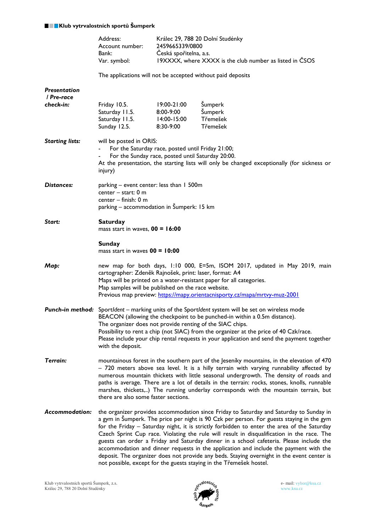#### **Klub vytrvalostních sportů Šumperk**

|                                   | Address:<br>Account number:<br>Bank:<br>Var. symbol:                                                                                                                                                                                                                                                                                                                                                                                                                                                                                                                  | Králec 29, 788 20 Dolní Studénky<br>2459665339/0800<br>Ceská spořitelna, a.s.<br>19XXXX, where XXXX is the club number as listed in CSOS |                                            |  |  |
|-----------------------------------|-----------------------------------------------------------------------------------------------------------------------------------------------------------------------------------------------------------------------------------------------------------------------------------------------------------------------------------------------------------------------------------------------------------------------------------------------------------------------------------------------------------------------------------------------------------------------|------------------------------------------------------------------------------------------------------------------------------------------|--------------------------------------------|--|--|
|                                   | The applications will not be accepted without paid deposits                                                                                                                                                                                                                                                                                                                                                                                                                                                                                                           |                                                                                                                                          |                                            |  |  |
| <b>Presentation</b><br>/ Pre-race |                                                                                                                                                                                                                                                                                                                                                                                                                                                                                                                                                                       |                                                                                                                                          |                                            |  |  |
| check-in:                         | Friday 10.5.<br>Saturday 11.5.<br>Saturday 11.5.<br>Sunday 12.5.                                                                                                                                                                                                                                                                                                                                                                                                                                                                                                      | 19:00-21:00<br>8:00-9:00<br>$14:00 - 15:00$<br>8:30-9:00                                                                                 | Šumperk<br>Šumperk<br>Třemešek<br>Třemešek |  |  |
| <b>Starting lists:</b>            | will be posted in ORIS:<br>For the Saturday race, posted until Friday 21:00;<br>For the Sunday race, posted until Saturday 20:00.<br>At the presentation, the starting lists will only be changed exceptionally (for sickness or<br>injury)                                                                                                                                                                                                                                                                                                                           |                                                                                                                                          |                                            |  |  |
| Distances:                        | parking - event center: less than 1 500m<br>center $-$ start: 0 m<br>center $-$ finish: 0 m<br>parking – accommodation in Šumperk: 15 km                                                                                                                                                                                                                                                                                                                                                                                                                              |                                                                                                                                          |                                            |  |  |
| Start:                            | <b>Saturday</b><br>mass start in waves, $00 = 16:00$                                                                                                                                                                                                                                                                                                                                                                                                                                                                                                                  |                                                                                                                                          |                                            |  |  |
|                                   | <b>Sunday</b><br>mass start in waves $00 = 10:00$                                                                                                                                                                                                                                                                                                                                                                                                                                                                                                                     |                                                                                                                                          |                                            |  |  |
| Мар:                              | new map for both days, 1:10 000, E=5m, ISOM 2017, updated in May 2019, main<br>cartographer: Zdeněk Rajnošek, print: laser, format: A4<br>Maps will be printed on a water-resistant paper for all categories.<br>Map samples will be published on the race website.<br>Previous map preview: https://mapy.orientacnisporty.cz/mapa/mrtvy-muz-2001                                                                                                                                                                                                                     |                                                                                                                                          |                                            |  |  |
|                                   | Punch-in method: Sportldent - marking units of the Sportldent system will be set on wireless mode<br>BEACON (allowing the checkpoint to be punched-in within a 0.5m distance).<br>The organizer does not provide renting of the SIAC chips.<br>Possibility to rent a chip (not SIAC) from the organizer at the price of 40 Czk/race.<br>Please include your chip rental requests in your application and send the payment together<br>with the deposit.                                                                                                               |                                                                                                                                          |                                            |  |  |
| Terrain:                          | mountainous forest in the southern part of the Jeseníky mountains, in the elevation of 470<br>- 720 meters above sea level. It is a hilly terrain with varying runnability affected by<br>numerous mountain thickets with little seasonal undergrowth. The density of roads and<br>paths is average. There are a lot of details in the terrain: rocks, stones, knolls, runnable<br>marshes, thickets,) The running underlay corresponds with the mountain terrain, but<br>there are also some faster sections.                                                        |                                                                                                                                          |                                            |  |  |
| Accommodation:                    | the organizer provides accommodation since Friday to Saturday and Saturday to Sunday in<br>a gym in Sumperk. The price per night is 90 Czk per person. For guests staying in the gym<br>for the Friday - Saturday night, it is strictly forbidden to enter the area of the Saturday<br>Czech Sprint Cup race. Violating the rule will result in disqualification in the race. The<br>guests can order a Friday and Saturday dinner in a school cafeteria. Please include the<br>accommodation and dinner requests in the application and include the payment with the |                                                                                                                                          |                                            |  |  |



not possible, except for the guests staying in the Třemešek hostel.

deposit. The organizer does not provide any beds. Staying overnight in the event center is